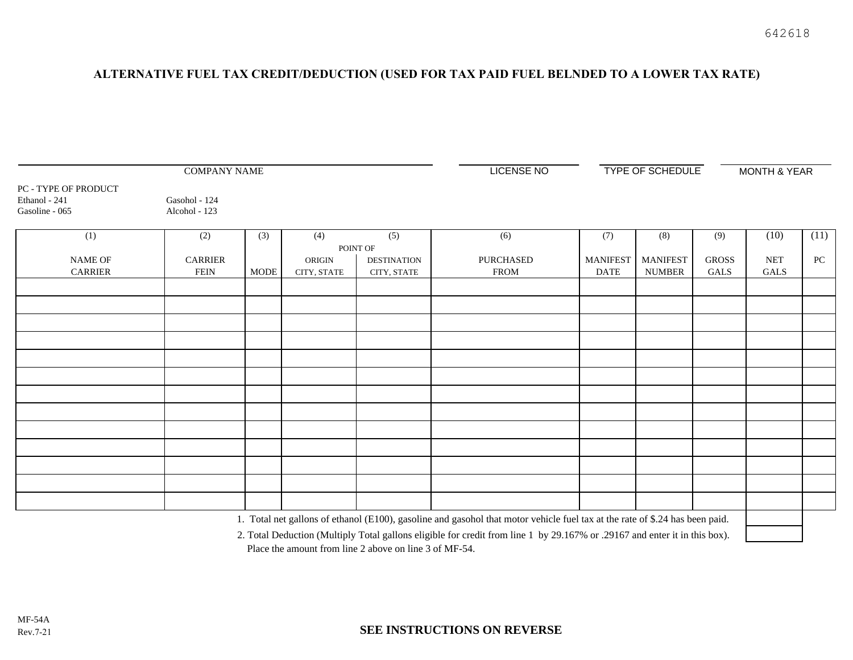## **ALTERNATIVE FUEL TAX CREDIT/DEDUCTION (USED FOR TAX PAID FUEL BELNDED TO A LOWER TAX RATE)**

| <b>COMPANY NAME</b>                                     |                                |             |             |                    | <b>LICENSE NO</b>                                                                                                            | <b>TYPE OF SCHEDULE</b> |                 |              | <b>MONTH &amp; YEAR</b> |                  |
|---------------------------------------------------------|--------------------------------|-------------|-------------|--------------------|------------------------------------------------------------------------------------------------------------------------------|-------------------------|-----------------|--------------|-------------------------|------------------|
| PC - TYPE OF PRODUCT<br>Ethanol - 241<br>Gasoline - 065 | Gasohol - 124<br>Alcohol - 123 |             |             |                    |                                                                                                                              |                         |                 |              |                         |                  |
| (1)                                                     | (2)                            | (3)         | (4)         | $\overline{(5)}$   | (6)                                                                                                                          | (7)                     | (8)             | (9)          | (10)                    | (11)             |
|                                                         |                                |             | POINT OF    |                    |                                                                                                                              |                         |                 |              |                         |                  |
| <b>NAME OF</b>                                          | <b>CARRIER</b>                 |             | ORIGIN      | <b>DESTINATION</b> | <b>PURCHASED</b>                                                                                                             | <b>MANIFEST</b>         | <b>MANIFEST</b> | <b>GROSS</b> | $\operatorname{NET}$    | ${\rm P}{\bf C}$ |
| <b>CARRIER</b>                                          | <b>FEIN</b>                    | <b>MODE</b> | CITY, STATE | CITY, STATE        | <b>FROM</b>                                                                                                                  | <b>DATE</b>             | <b>NUMBER</b>   | <b>GALS</b>  | <b>GALS</b>             |                  |
|                                                         |                                |             |             |                    |                                                                                                                              |                         |                 |              |                         |                  |
|                                                         |                                |             |             |                    |                                                                                                                              |                         |                 |              |                         |                  |
|                                                         |                                |             |             |                    |                                                                                                                              |                         |                 |              |                         |                  |
|                                                         |                                |             |             |                    |                                                                                                                              |                         |                 |              |                         |                  |
|                                                         |                                |             |             |                    |                                                                                                                              |                         |                 |              |                         |                  |
|                                                         |                                |             |             |                    |                                                                                                                              |                         |                 |              |                         |                  |
|                                                         |                                |             |             |                    |                                                                                                                              |                         |                 |              |                         |                  |
|                                                         |                                |             |             |                    |                                                                                                                              |                         |                 |              |                         |                  |
|                                                         |                                |             |             |                    |                                                                                                                              |                         |                 |              |                         |                  |
|                                                         |                                |             |             |                    |                                                                                                                              |                         |                 |              |                         |                  |
|                                                         |                                |             |             |                    |                                                                                                                              |                         |                 |              |                         |                  |
|                                                         |                                |             |             |                    |                                                                                                                              |                         |                 |              |                         |                  |
|                                                         |                                |             |             |                    |                                                                                                                              |                         |                 |              |                         |                  |
|                                                         |                                |             |             |                    | 1. Total net gallons of ethanol (E100), gasoline and gasohol that motor vehicle fuel tax at the rate of \$.24 has been paid. |                         |                 |              |                         |                  |

2. Total Deduction (Multiply Total gallons eligible for credit from line 1 by 29.167% or .29167 and enter it in this box). Place the amount from line 2 above on line 3 of MF-54.